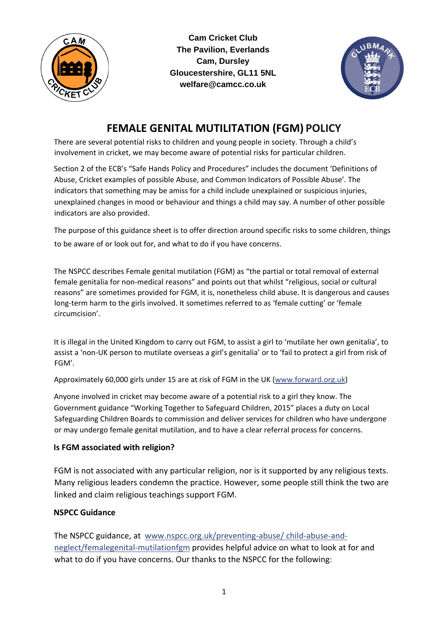

**Cam Cricket Club The Pavilion, Everlands Cam, Dursley Gloucestershire, GL11 5NL welfare@camcc.co.uk** 



# **FEMALE GENITAL MUTILITATION (FGM) POLICY**

There are several potential risks to children and young people in society. Through a child's involvement in cricket, we may become aware of potential risks for particular children.

Section 2 of the ECB's "Safe Hands Policy and Procedures" includes the document 'Definitions of Abuse, Cricket examples of possible Abuse, and Common Indicators of Possible Abuse'. The indicators that something may be amiss for a child include unexplained or suspicious injuries, unexplained changes in mood or behaviour and things a child may say. A number of other possible indicators are also provided.

The purpose of this guidance sheet is to offer direction around specific risks to some children, things to be aware of or look out for, and what to do if you have concerns.

The NSPCC describes Female genital mutilation (FGM) as "the partial or total removal of external female genitalia for non-medical reasons" and points out that whilst "religious, social or cultural reasons" are sometimes provided for FGM, it is, nonetheless child abuse. It is dangerous and causes long-term harm to the girls involved. It sometimes referred to as 'female cutting' or 'female circumcision'.

It is illegal in the United Kingdom to carry out FGM, to assist a girl to 'mutilate her own genitalia', to assist a 'non-UK person to mutilate overseas a girl's genitalia' or to 'fail to protect a girl from risk of FGM'.

Approximately 60,000 girls under 15 are at risk of FGM in the UK (www.forward.org.uk)

Anyone involved in cricket may become aware of a potential risk to a girl they know. The Government guidance "Working Together to Safeguard Children, 2015" places a duty on Local Safeguarding Children Boards to commission and deliver services for children who have undergone or may undergo female genital mutilation, and to have a clear referral process for concerns.

### **Is FGM associated with religion?**

FGM is not associated with any particular religion, nor is it supported by any religious texts. Many religious leaders condemn the practice. However, some people still think the two are linked and claim religious teachings support FGM.

### **NSPCC Guidance**

The NSPCC guidance, at www.nspcc.org.uk/preventing-abuse/ child-abuse-andneglect/femalegenital-mutilationfgm provides helpful advice on what to look at for and what to do if you have concerns. Our thanks to the NSPCC for the following: